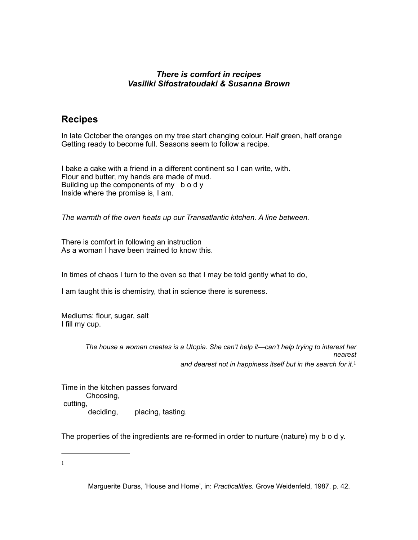### *There is comfort in recipes Vasiliki Sifostratoudaki & Susanna Brown*

# **Recipes**

In late October the oranges on my tree start changing colour. Half green, half orange Getting ready to become full. Seasons seem to follow a recipe.

I bake a cake with a friend in a different continent so I can write, with. Flour and butter, my hands are made of mud. Building up the components of my b o d y Inside where the promise is, I am.

*The warmth of the oven heats up our Transatlantic kitchen. A line between.*

There is comfort in following an instruction As a woman I have been trained to know this.

In times of chaos I turn to the oven so that I may be told gently what to do,

I am taught this is chemistry, that in science there is sureness.

Mediums: flour, sugar, salt I fill my cup.

> <span id="page-0-1"></span>*The house a woman creates is a Utopia. She can't help it—can't help trying to interest her nearest and dearest not in happiness itself but in the search for it.*[1](#page-0-0)

Time in the kitchen passes forward Choosing, cutting, deciding, placing, tasting.

The properties of the ingredients are re-formed in order to nurture (nature) my b o d y.

<span id="page-0-0"></span>[1](#page-0-1)

Marguerite Duras, 'House and Home', in: *Practicalities.* Grove Weidenfeld, 1987. p. 42.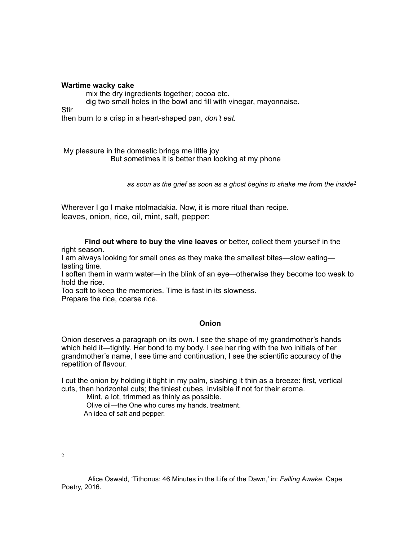#### **Wartime wacky cake**

mix the dry ingredients together; cocoa etc.

dig two small holes in the bowl and fill with vinegar, mayonnaise.

Stir

then burn to a crisp in a heart-shaped pan, *don't eat.*

My pleasure in the domestic brings me little joy But sometimes it is better than looking at my phone

*as soon as the grief as soon as a ghost begins to shake me from the inside*[2](#page-1-0)

Wherever I go I make ntolmadakia. Now, it is more ritual than recipe. leaves, onion, rice, oil, mint, salt, pepper:

 **Find out where to buy the vine leaves** or better, collect them yourself in the right season.

I am always looking for small ones as they make the smallest bites—slow eating tasting time.

I soften them in warm water*—*in the blink of an eye*—*otherwise they become too weak to hold the rice.

Too soft to keep the memories. Time is fast in its slowness. Prepare the rice, coarse rice.

#### <span id="page-1-1"></span>**Onion**

Onion deserves a paragraph on its own. I see the shape of my grandmother's hands which held it—tightly. Her bond to my body. I see her ring with the two initials of her grandmother's name, I see time and continuation, I see the scientific accuracy of the repetition of flavour.

I cut the onion by holding it tight in my palm, slashing it thin as a breeze: first, vertical cuts, then horizontal cuts; the tiniest cubes, invisible if not for their aroma.

Mint, a lot, trimmed as thinly as possible.

 Olive oil—the One who cures my hands, treatment. An idea of salt and pepper.

<span id="page-1-0"></span>[2](#page-1-1)

Alice Oswald, 'Tithonus: 46 Minutes in the Life of the Dawn,' in: *Falling Awake.* Cape Poetry, 2016.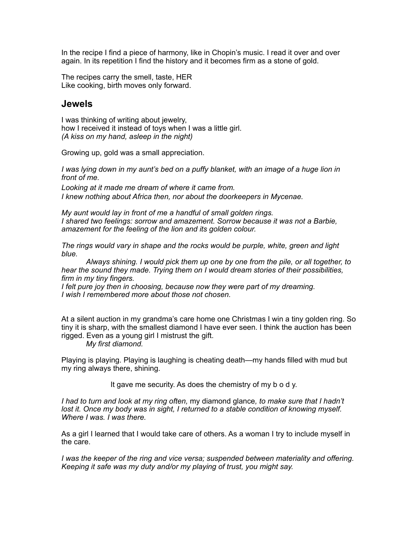In the recipe I find a piece of harmony, like in Chopin's music. I read it over and over again. In its repetition I find the history and it becomes firm as a stone of gold.

The recipes carry the smell, taste, HER Like cooking, birth moves only forward.

### **Jewels**

I was thinking of writing about jewelry, how I received it instead of toys when I was a little girl. *(A kiss on my hand, asleep in the night)*

Growing up, gold was a small appreciation.

*I was lying down in my aunt's bed on a puffy blanket, with an image of a huge lion in front of me.* 

*Looking at it made me dream of where it came from. I knew nothing about Africa then, nor about the doorkeepers in Mycenae.* 

*My aunt would lay in front of me a handful of small golden rings. I shared two feelings: sorrow and amazement. Sorrow because it was not a Barbie, amazement for the feeling of the lion and its golden colour.*

*The rings would vary in shape and the rocks would be purple, white, green and light blue.* 

*Always shining. I would pick them up one by one from the pile, or all together, to hear the sound they made. Trying them on I would dream stories of their possibilities, firm in my tiny fingers.* 

*I felt pure joy then in choosing, because now they were part of my dreaming. I wish I remembered more about those not chosen.*

At a silent auction in my grandma's care home one Christmas I win a tiny golden ring. So tiny it is sharp, with the smallest diamond I have ever seen. I think the auction has been rigged. Even as a young girl I mistrust the gift.

*My first diamond.*

Playing is playing. Playing is laughing is cheating death—my hands filled with mud but my ring always there, shining.

It gave me security. As does the chemistry of my b o d y.

*I had to turn and look at my ring often,* my diamond glance*, to make sure that I hadn't*  lost it. Once my body was in sight, I returned to a stable condition of knowing myself. *Where I was. I was there.*

As a girl I learned that I would take care of others. As a woman I try to include myself in the care.

*I* was the keeper of the ring and vice versa; suspended between materiality and offering. *Keeping it safe was my duty and/or my playing of trust, you might say.*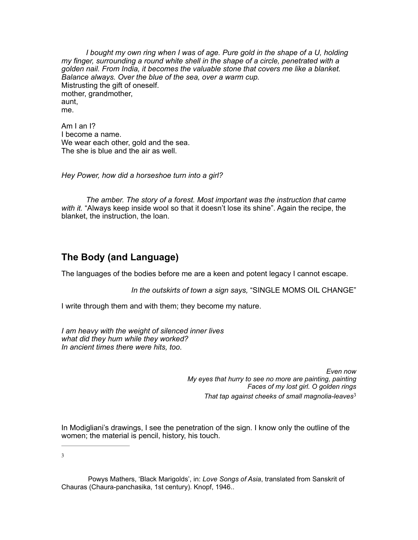*I bought my own ring when I was of age. Pure gold in the shape of a U, holding my finger, surrounding a round white shell in the shape of a circle, penetrated with a golden nail. From India, it becomes the valuable stone that covers me like a blanket. Balance always. Over the blue of the sea, over a warm cup.* Mistrusting the gift of oneself. mother, grandmother, aunt, me.

Am I an I? I become a name. We wear each other, gold and the sea. The she is blue and the air as well.

*Hey Power, how did a horseshoe turn into a girl?*

 *The amber. The story of a forest. Most important was the instruction that came with it.* "Always keep inside wool so that it doesn't lose its shine". Again the recipe, the blanket, the instruction, the loan.

# **The Body (and Language)**

The languages of the bodies before me are a keen and potent legacy I cannot escape.

*In the outskirts of town a sign says,* "SINGLE MOMS OIL CHANGE"

I write through them and with them; they become my nature.

*I am heavy with the weight of silenced inner lives what did they hum while they worked? In ancient times there were hits, too.*

> <span id="page-3-1"></span>*Even now My eyes that hurry to see no more are painting, painting Faces of my lost girl. O golden rings That tap against cheeks of small magnolia-leaves*[3](#page-3-0)

In Modigliani's drawings, I see the penetration of the sign. I know only the outline of the women; the material is pencil, history, his touch.

<span id="page-3-0"></span>[3](#page-3-1)

Powys Mathers, 'Black Marigolds', in: *Love Songs of Asia*, translated from Sanskrit of Chauras (Chaura-panchasika, 1st century). Knopf, 1946..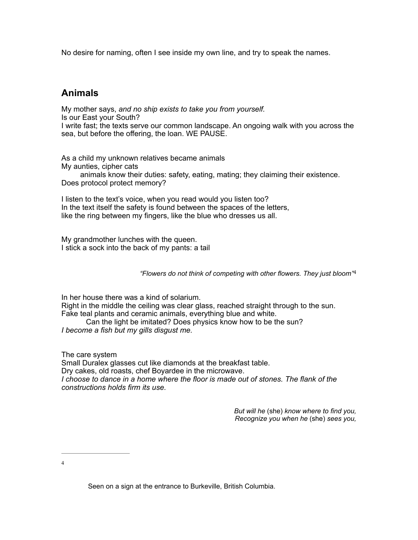No desire for naming, often I see inside my own line, and try to speak the names.

# **Animals**

My mother says, *and no ship exists to take you from yourself.*  Is our East your South? I write fast; the texts serve our common landscape. An ongoing walk with you across the sea, but before the offering, the loan. WE PAUSE.

As a child my unknown relatives became animals My aunties, cipher cats

 animals know their duties: safety, eating, mating; they claiming their existence. Does protocol protect memory?

I listen to the text's voice, when you read would you listen too? In the text itself the safety is found between the spaces of the letters, like the ring between my fingers, like the blue who dresses us all.

My grandmother lunches with the queen. I stick a sock into the back of my pants: a tail

*"Flowers do not think of competing with other flowers. They just bloom"*[4](#page-4-0)

In her house there was a kind of solarium. Right in the middle the ceiling was clear glass, reached straight through to the sun. Fake teal plants and ceramic animals, everything blue and white.

Can the light be imitated? Does physics know how to be the sun? *I become a fish but my gills disgust me.*

The care system Small Duralex glasses cut like diamonds at the breakfast table. Dry cakes, old roasts, chef Boyardee in the microwave. *I* choose to dance in a home where the floor is made out of stones. The flank of the *constructions holds firm its use.* 

> <span id="page-4-1"></span>*But will he* (she) *know where to find you, Recognize you when he* (she) *sees you,*

<span id="page-4-0"></span>[4](#page-4-1)

Seen on a sign at the entrance to Burkeville, British Columbia.